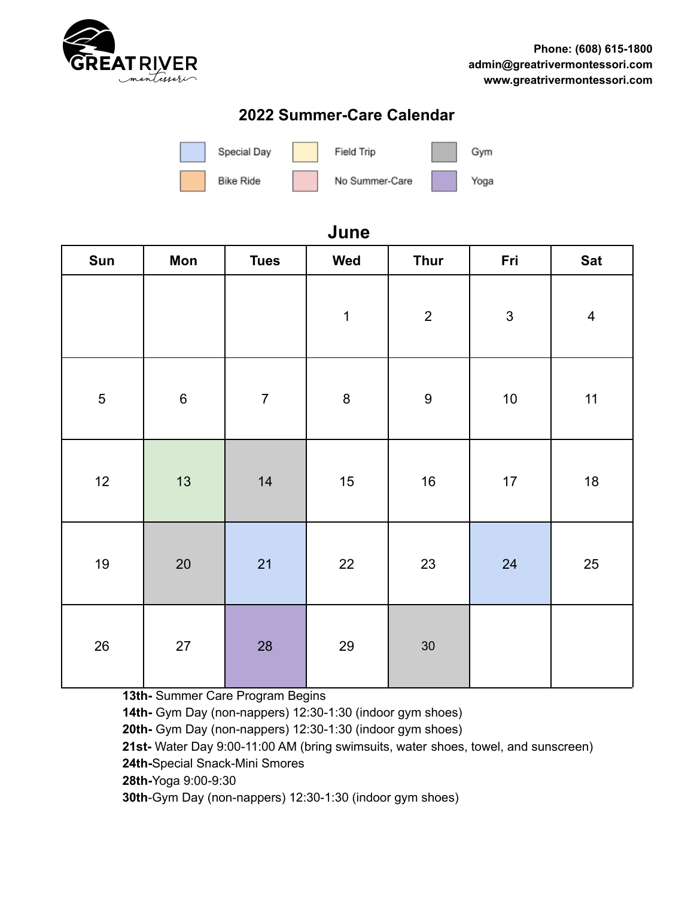

## **2022 Summer-Care Calendar**



## **June**

| Sun            | Mon     | <b>Tues</b>    | Wed         | <b>Thur</b>      | Fri          | <b>Sat</b>              |
|----------------|---------|----------------|-------------|------------------|--------------|-------------------------|
|                |         |                | $\mathbf 1$ | $\overline{c}$   | $\mathbf{3}$ | $\overline{\mathbf{4}}$ |
| $\overline{5}$ | $\,6\,$ | $\overline{7}$ | $\bf 8$     | $\boldsymbol{9}$ | $10\,$       | 11                      |
| 12             | 13      | 14             | 15          | 16               | $17$         | 18                      |
| 19             | 20      | 21             | $22\,$      | 23               | 24           | $25\,$                  |
| $26\,$         | $27\,$  | 28             | 29          | 30               |              |                         |

**13th-** Summer Care Program Begins

**14th-** Gym Day (non-nappers) 12:30-1:30 (indoor gym shoes)

**20th-** Gym Day (non-nappers) 12:30-1:30 (indoor gym shoes)

**21st-** Water Day 9:00-11:00 AM (bring swimsuits, water shoes, towel, and sunscreen)

**24th-**Special Snack-Mini Smores

**28th-**Yoga 9:00-9:30

**30th**-Gym Day (non-nappers) 12:30-1:30 (indoor gym shoes)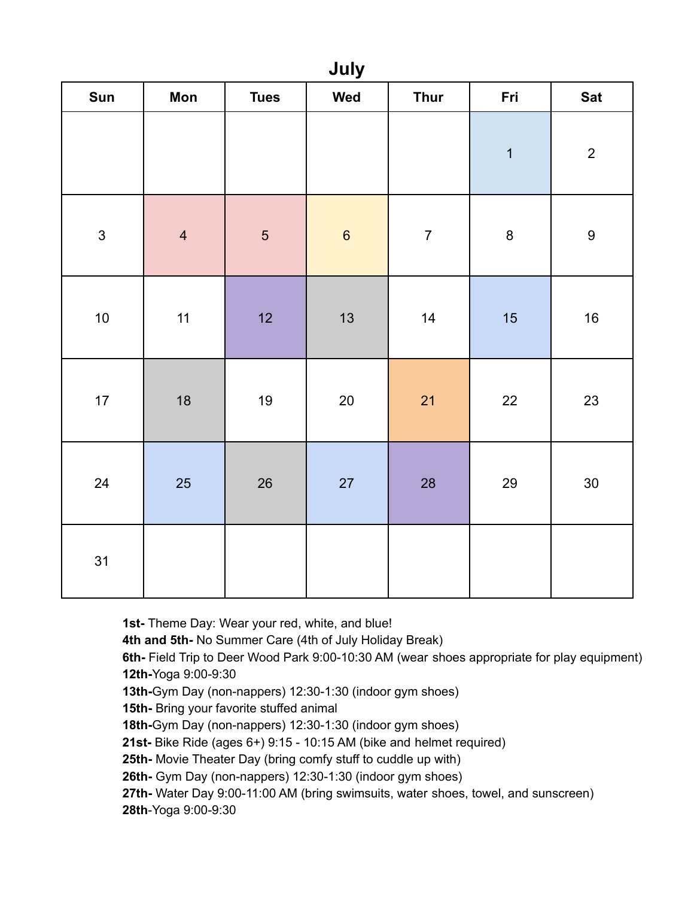| July           |                |             |                  |                  |                         |                  |
|----------------|----------------|-------------|------------------|------------------|-------------------------|------------------|
| <b>Sun</b>     | Mon            | <b>Tues</b> | Wed              | <b>Thur</b>      | Fri                     | <b>Sat</b>       |
|                |                |             |                  |                  | $\overline{\mathbf{1}}$ | $\overline{c}$   |
| $\mathfrak{S}$ | $\overline{4}$ | $\sqrt{5}$  | $\boldsymbol{6}$ | $\boldsymbol{7}$ | $\bf 8$                 | $\boldsymbol{9}$ |
| 10             | $11$           | 12          | 13               | 14               | 15                      | $16\,$           |
| 17             | $18$           | $19$        | $20\,$           | 21               | $22\,$                  | 23               |
| 24             | 25             | $26\,$      | 27               | 28               | 29                      | 30               |
| 31             |                |             |                  |                  |                         |                  |

**July**

**1st-** Theme Day: Wear your red, white, and blue! **4th and 5th-** No Summer Care (4th of July Holiday Break) **6th-** Field Trip to Deer Wood Park 9:00-10:30 AM (wear shoes appropriate for play equipment) **12th-**Yoga 9:00-9:30 **13th-**Gym Day (non-nappers) 12:30-1:30 (indoor gym shoes) **15th-** Bring your favorite stuffed animal **18th-**Gym Day (non-nappers) 12:30-1:30 (indoor gym shoes) **21st-** Bike Ride (ages 6+) 9:15 - 10:15 AM (bike and helmet required) **25th-** Movie Theater Day (bring comfy stuff to cuddle up with) **26th-** Gym Day (non-nappers) 12:30-1:30 (indoor gym shoes) **27th-** Water Day 9:00-11:00 AM (bring swimsuits, water shoes, towel, and sunscreen) **28th**-Yoga 9:00-9:30